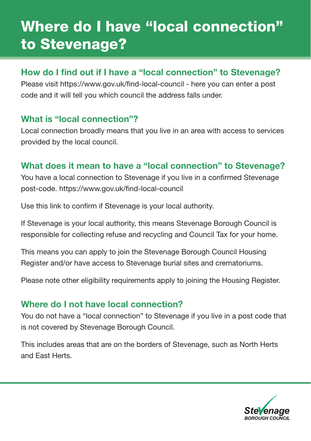# Where do I have "local connection" to Stevenage?

### How do I find out if I have a "local connection" to Stevenage?

Please visit [https://www.gov.uk/fnd-local-council](https://www.gov.uk/find-local-council) - here you can enter a post code and it will tell you which council the address falls under.

### What is "local connection"?

Local connection broadly means that you live in an area with access to services provided by the local council.

## What does it mean to have a "local connection" to Stevenage?

You have a local connection to Stevenage if you live in a confrmed Stevenage post-code. https://www.gov.uk/find-local-council

Use this link to confrm if Stevenage is your local authority.

If Stevenage is your local authority, this means Stevenage Borough Council is responsible for collecting refuse and recycling and Council Tax for your home.

This means you can apply to join the Stevenage Borough Council Housing Register and/or have access to Stevenage burial sites and crematoriums.

Please note other eligibility requirements apply to joining the Housing Register.

#### Where do I not have local connection?

You do not have a "local connection" to Stevenage if you live in a post code that is not covered by Stevenage Borough Council.

This includes areas that are on the borders of Stevenage, such as North Herts and East Herts.